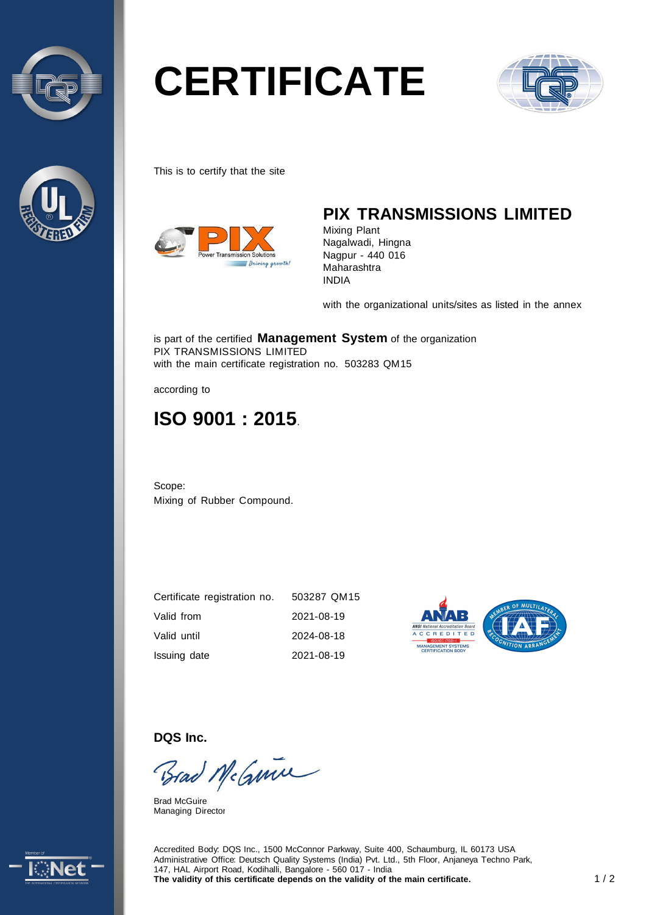



# **CERTIFICATE**



This is to certify that the site



## **PIX TRANSMISSIONS LIMITED**

Mixing Plant Nagalwadi, Hingna Nagpur - 440 016 Maharashtra INDIA

with the organizational units/sites as listed in the annex

is part of the certified **Management System** of the organization PIX TRANSMISSIONS LIMITED with the main certificate registration no. 503283 QM15

according to

# **ISO 9001 : 2015**.

Scope: Mixing of Rubber Compound.

| Certificate registration no. | 503287 QM15 |
|------------------------------|-------------|
| Valid from                   | 2021-08-19  |
| Valid until                  | 2024-08-18  |
| Issuing date                 | 2021-08-19  |



**DQS Inc.** 

Brad McGmin

Brad McGuire Managing Director



Accredited Body: DQS Inc., 1500 McConnor Parkway, Suite 400, Schaumburg, IL 60173 USA Administrative Office: Deutsch Quality Systems (India) Pvt. Ltd., 5th Floor, Anjaneya Techno Park, 147, HAL Airport Road, Kodihalli, Bangalore - 560 017 - India The validity of this certificate depends on the validity of the main certificate. 1/2